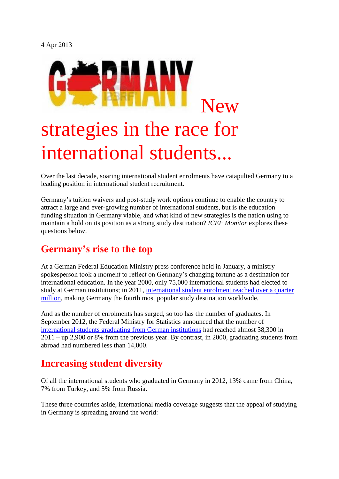4 Apr 2013



Over the last decade, soaring international student enrolments have catapulted Germany to a leading position in international student recruitment.

Germany's tuition waivers and post-study work options continue to enable the country to attract a large and ever-growing number of international students, but is the education funding situation in Germany viable, and what kind of new strategies is the nation using to maintain a hold on its position as a strong study destination? *ICEF Monitor* explores these questions below.

#### **Germany's rise to the top**

At a German Federal Education Ministry press conference held in January, a ministry spokesperson took a moment to reflect on Germany's changing fortune as a destination for international education. In the year 2000, only 75,000 international students had elected to study at German institutions; in 2011, [international student enrolment reached over a quarter](http://monitor.icef.com/2012/08/germany-strengthens-its-stance-as-4th-most-popular-study-destination-in-the-world/)  [million,](http://monitor.icef.com/2012/08/germany-strengthens-its-stance-as-4th-most-popular-study-destination-in-the-world/) making Germany the fourth most popular study destination worldwide.

And as the number of enrolments has surged, so too has the number of graduates. In September 2012, the Federal Ministry for Statistics announced that the number of [international students graduating from German institutions](http://www.sueddeutsche.de/bildung/auslaendische-studierende-an-deutschen-hochschulen-bachelor-made-in-germany-1.1469978) had reached almost 38,300 in 2011 – up 2,900 or 8% from the previous year. By contrast, in 2000, graduating students from abroad had numbered less than 14,000.

#### **Increasing student diversity**

Of all the international students who graduated in Germany in 2012, 13% came from China, 7% from Turkey, and 5% from Russia.

These three countries aside, international media coverage suggests that the appeal of studying in Germany is spreading around the world: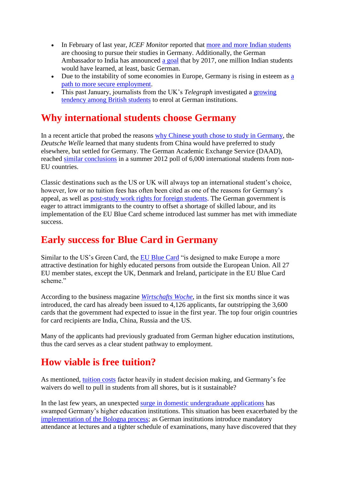- In February of last year, *ICEF Monitor* reported that [more and more Indian students](http://monitor.icef.com/2012/02/indian-enrolments-soar-in-germany/) are choosing to pursue their studies in Germany. Additionally, the German Ambassador to India has announced [a goal](http://www.scienceguide.nl/201302/merkel%E2%80%99s-quest-for-indian-talent.aspx) that by 2017, one million Indian students would have learned, at least, basic German.
- Due to the instability of some economies in Europe, Germany is rising in esteem as a [path to more secure employment.](http://monitor.icef.com/2012/08/eurozone-crisis-boosting-student-mobility-in-the-south/)
- This past January, journalists from the UK's *Telegraph* investigated a [growing](http://www.telegraph.co.uk/education/universityeducation/9790250/Why-British-students-are-heading-to-Germany.html)  [tendency among British students](http://www.telegraph.co.uk/education/universityeducation/9790250/Why-British-students-are-heading-to-Germany.html) to enrol at German institutions.

#### **Why international students choose Germany**

In a recent article that probed the reasons [why Chinese youth chose to study in Germany,](http://www.dw.de/chinese-students-search-for-opportunity-in-germany/a-16136167) the *Deutsche Welle* learned that many students from China would have preferred to study elsewhere, but settled for Germany. The German Academic Exchange Service (DAAD), reached [similar conclusions](http://www.tagesspiegel.de/wissen/auslaendische-studierende-viele-wuerden-gerne-ein-paar-jahre-indeutschland-arbeiten/6911326.html) in a summer 2012 poll of 6,000 international students from non-EU countries.

Classic destinations such as the US or UK will always top an international student's choice, however, low or no tuition fees has often been cited as one of the reasons for Germany's appeal, as well as [post-study work rights for foreign students.](http://monitor.icef.com/2012/05/germany-eases-post-study-work-and-immigration-legislation-for-foreign-students/) The German government is eager to attract immigrants to the country to offset a shortage of skilled labour, and its implementation of the EU Blue Card scheme introduced last summer has met with immediate success.

### **Early success for Blue Card in Germany**

Similar to the US's Green Card, the [EU Blue Card](http://www.apply.eu/BlueCard/) "is designed to make Europe a more attractive destination for highly educated persons from outside the European Union. All 27 EU member states, except the UK, Denmark and Ireland, participate in the EU Blue Card scheme."

According to the business magazine *[Wirtschafts Woche](http://www.wiwo.de/politik/deutschland/ueberraschungsstart-4126-blue-cards-fuer-hoch-qualifizierte-zuwanderer/7791164.html)*, in the first six months since it was introduced, the card has already been issued to 4,126 applicants, far outstripping the 3,600 cards that the government had expected to issue in the first year. The top four origin countries for card recipients are India, China, Russia and the US.

Many of the applicants had previously graduated from German higher education institutions, thus the card serves as a clear student pathway to employment.

### **How viable is free tuition?**

As mentioned, [tuition costs](http://monitor.icef.com/2013/02/international-tuition-trends-reflect-competitive-nature-of-todays-recruitment-environment/) factor heavily in student decision making, and Germany's fee waivers do well to pull in students from all shores, but is it sustainable?

In the last few years, an unexpected [surge in domestic undergraduate applications](http://www.spiegel.de/unispiegel/studium/hochschulrekord-deutschland-hat-mehr-als-2-2-millionen-studenten-a-785795.html) has swamped Germany's higher education institutions. This situation has been exacerbated by the [implementation of the Bologna process;](http://www.timeshighereducation.co.uk/story.asp?sectioncode=26&storycode=421091&c=1) as German institutions introduce mandatory attendance at lectures and a tighter schedule of examinations, many have discovered that they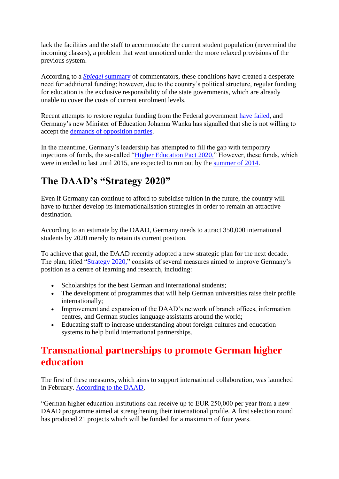lack the facilities and the staff to accommodate the current student population (nevermind the incoming classes), a problem that went unnoticed under the more relaxed provisions of the previous system.

According to a *Spiegel* [summary](http://www.spiegel.de/international/germany/press-review-on-bologna-process-education-reforms-a-850185.html) of commentators, these conditions have created a desperate need for additional funding; however, due to the country's political structure, regular funding for education is the exclusive responsibility of the state governments, which are already unable to cover the costs of current enrolment levels.

Recent attempts to restore regular funding from the Federal government [have failed,](http://bildungsklick.de/a/86741/kooperationsverbot-bleibt-im-grundgesetz/) and Germany's new Minister of Education Johanna Wanka has signalled that she is not willing to accept the [demands of opposition parties.](http://www.spiegel.de/unispiegel/studium/bildungsministerin-wankas-plaene-zu-kooperationsverbot-und-bafoeg-a-884780.html)

In the meantime, Germany's leadership has attempted to fill the gap with temporary injections of funds, the so-called ["Higher Education Pact 2020."](http://www.bmbf.de/de/6142.php) However, these funds, which were intended to last until 2015, are expected to run out by the [summer of 2014.](http://www.zeit.de/2012/07/B-Interview-Theresia-Bauer)

# **The DAAD's "Strategy 2020"**

Even if Germany can continue to afford to subsidise tuition in the future, the country will have to further develop its internationalisation strategies in order to remain an attractive destination.

According to an estimate by the DAAD, Germany needs to attract 350,000 international students by 2020 merely to retain its current position.

To achieve that goal, the DAAD recently adopted a new strategic plan for the next decade. The plan, titled ["Strategy 2020,"](https://www.daad.de/portrait/presse/pressemitteilungen/2013/23109.en.html) consists of several measures aimed to improve Germany's position as a centre of learning and research, including:

- Scholarships for the best German and international students;
- The development of programmes that will help German universities raise their profile internationally;
- Improvement and expansion of the DAAD's network of branch offices, information centres, and German studies language assistants around the world;
- Educating staff to increase understanding about foreign cultures and education systems to help build international partnerships.

### **Transnational partnerships to promote German higher education**

The first of these measures, which aims to support international collaboration, was launched in February. [According to the DAAD,](https://www.daad.de/portrait/presse/pressemitteilungen/2013/22981.en.html)

"German higher education institutions can receive up to EUR 250,000 per year from a new DAAD programme aimed at strengthening their international profile. A first selection round has produced 21 projects which will be funded for a maximum of four years.